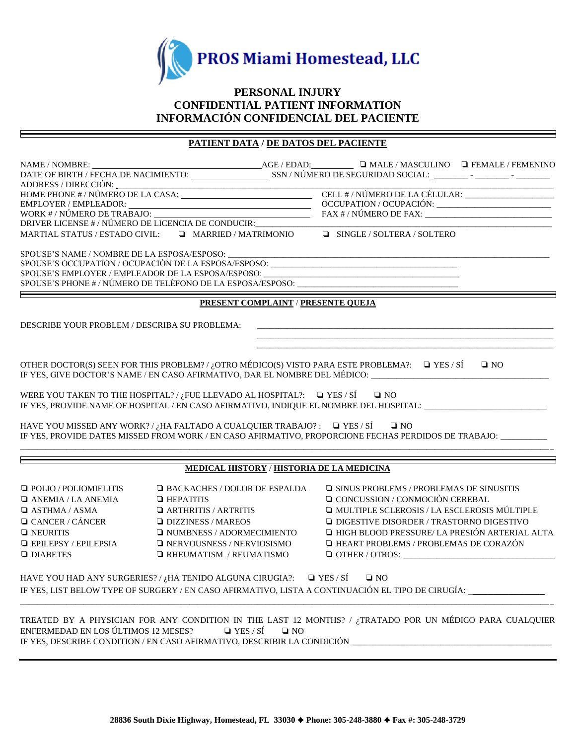

# **PERSONAL INJURY CONFIDENTIAL PATIENT INFORMATION INFORMACIÓN CONFIDENCIAL DEL PACIENTE**

# **PATIENT DATA / DE DATOS DEL PACIENTE**

| MARTIAL STATUS / ESTADO CIVIL: $\qquad \qquad \Box \qquad$ MARRIED / MATRIMONIO           |                                                  |                                    | $\Box$ SINGLE / SOLTERA / SOLTERO                                                                              |              |  |  |  |  |
|-------------------------------------------------------------------------------------------|--------------------------------------------------|------------------------------------|----------------------------------------------------------------------------------------------------------------|--------------|--|--|--|--|
|                                                                                           |                                                  |                                    |                                                                                                                |              |  |  |  |  |
|                                                                                           |                                                  |                                    | SPOUSE'S OCCUPATION / OCUPACIÓN DE LA ESPOSA/ESPOSO: ____________________________                              |              |  |  |  |  |
|                                                                                           |                                                  |                                    | SPOUSE'S EMPLOYER / EMPLEADOR DE LA ESPOSA/ESPOSO: ______________________________                              |              |  |  |  |  |
| SPOUSE'S PHONE # / NÚMERO DE TELÉFONO DE LA ESPOSA/ESPOSO: ______________________         |                                                  |                                    |                                                                                                                |              |  |  |  |  |
|                                                                                           |                                                  | PRESENT COMPLAINT / PRESENTE QUEJA |                                                                                                                |              |  |  |  |  |
|                                                                                           |                                                  |                                    |                                                                                                                |              |  |  |  |  |
| DESCRIBE YOUR PROBLEM / DESCRIBA SU PROBLEMA:                                             |                                                  |                                    |                                                                                                                |              |  |  |  |  |
|                                                                                           |                                                  |                                    |                                                                                                                |              |  |  |  |  |
|                                                                                           |                                                  |                                    | OTHER DOCTOR(S) SEEN FOR THIS PROBLEM? / ¿OTRO MÉDICO(S) VISTO PARA ESTE PROBLEMA?: $\Box$ YES / SÍ            | $\square$ NO |  |  |  |  |
| IF YES, GIVE DOCTOR'S NAME / EN CASO AFIRMATIVO, DAR EL NOMBRE DEL MÉDICO: __________     |                                                  |                                    |                                                                                                                |              |  |  |  |  |
|                                                                                           |                                                  |                                    |                                                                                                                |              |  |  |  |  |
| WERE YOU TAKEN TO THE HOSPITAL?/ ¿FUE LLEVADO AL HOSPITAL?: $\Box$ YES / SÍ $\Box$ NO     |                                                  |                                    | IF YES, PROVIDE NAME OF HOSPITAL / EN CASO AFIRMATIVO, INDIQUE EL NOMBRE DEL HOSPITAL: _______________________ |              |  |  |  |  |
| HAVE YOU MISSED ANY WORK? / ¿HA FALTADO A CUALQUIER TRABAJO?: $\Box$ YES / SÍ             |                                                  |                                    | $\square$ NO                                                                                                   |              |  |  |  |  |
|                                                                                           |                                                  |                                    | IF YES, PROVIDE DATES MISSED FROM WORK / EN CASO AFIRMATIVO, PROPORCIONE FECHAS PERDIDOS DE TRABAJO:           |              |  |  |  |  |
|                                                                                           |                                                  |                                    |                                                                                                                |              |  |  |  |  |
|                                                                                           | <b>MEDICAL HISTORY / HISTORIA DE LA MEDICINA</b> |                                    |                                                                                                                |              |  |  |  |  |
| $\Box$ POLIO / POLIOMIELITIS                                                              | <b>E BACKACHES / DOLOR DE ESPALDA</b>            |                                    | $\Box$ SINUS PROBLEMS / PROBLEMAS DE SINUSITIS                                                                 |              |  |  |  |  |
|                                                                                           |                                                  |                                    |                                                                                                                |              |  |  |  |  |
| $\Box$ ANEMIA / LA ANEMIA                                                                 | $\Box$ HEPATITIS                                 |                                    | □ CONCUSSION / CONMOCIÓN CEREBAL                                                                               |              |  |  |  |  |
| $\Box$ ASTHMA / ASMA                                                                      | $\Box$ ARTHRITIS / ARTRITIS                      |                                    | I MULTIPLE SCLEROSIS / LA ESCLEROSIS MÚLTIPLE                                                                  |              |  |  |  |  |
| $\Box$ CANCER / CÁNCER                                                                    | $\Box$ DIZZINESS / MAREOS                        |                                    | <b>Q DIGESTIVE DISORDER / TRASTORNO DIGESTIVO</b>                                                              |              |  |  |  |  |
| $\Box$ NEURITIS                                                                           | $\Box$ NUMBNESS / ADORMECIMIENTO                 |                                    | <b>THIGH BLOOD PRESSURE/ LA PRESIÓN ARTERIAL ALTA</b>                                                          |              |  |  |  |  |
| $\Box$ EPILEPSY / EPILEPSIA                                                               | $\Box$ NERVOUSNESS / NERVIOSISMO                 |                                    | <b>HEART PROBLEMS / PROBLEMAS DE CORAZÓN</b>                                                                   |              |  |  |  |  |
| <b>Q DIABETES</b>                                                                         | $\Box$ RHEUMATISM / REUMATISMO                   |                                    | $\Box$ OTHER / OTROS:                                                                                          |              |  |  |  |  |
| HAVE YOU HAD ANY SURGERIES?/ $\iota_i$ HA TENIDO ALGUNA CIRUGIA?: $\Box$ YES/SÍ $\Box$ NO |                                                  |                                    |                                                                                                                |              |  |  |  |  |
|                                                                                           |                                                  |                                    |                                                                                                                |              |  |  |  |  |
|                                                                                           |                                                  |                                    | IF YES, LIST BELOW TYPE OF SURGERY / EN CASO AFIRMATIVO, LISTA A CONTINUACIÓN EL TIPO DE CIRUGÍA:              |              |  |  |  |  |
|                                                                                           |                                                  |                                    |                                                                                                                |              |  |  |  |  |
|                                                                                           |                                                  |                                    | TREATED BY A PHYSICIAN FOR ANY CONDITION IN THE LAST 12 MONTHS? / ¿TRATADO POR UN MÉDICO PARA CUALQUIER        |              |  |  |  |  |
| ENFERMEDAD EN LOS ÚLTIMOS 12 MESES?                                                       | $\Box$ YES / SÍ                                  | $\square$ NO                       |                                                                                                                |              |  |  |  |  |
|                                                                                           |                                                  |                                    |                                                                                                                |              |  |  |  |  |
|                                                                                           |                                                  |                                    |                                                                                                                |              |  |  |  |  |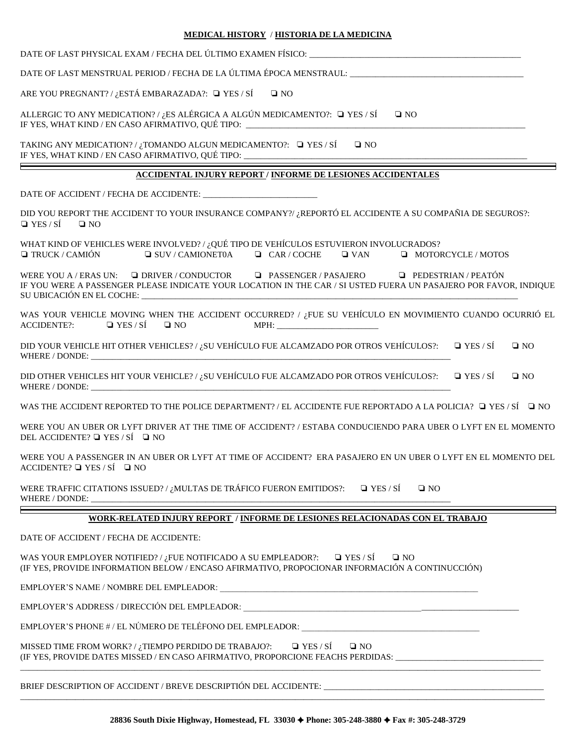**MEDICAL HISTORY** / **HISTORIA DE LA MEDICINA** DATE OF LAST PHYSICAL EXAM / FECHA DEL ÚLTIMO EXAMEN FÍSICO: DATE OF LAST MENSTRUAL PERIOD / FECHA DE LA ÚLTIMA ÉPOCA MENSTRAUL: ARE YOU PREGNANT? / ¿ESTÁ EMBARAZADA?:  $\Box$  YES / SÍ  $\Box$  NO ALLERGIC TO ANY MEDICATION? / *i*.ES ALÉRGICA A ALGÚN MEDICAMENTO?:  $\Box$  YES / SÍ  $\Box$  NO IF YES, WHAT KIND / EN CASO AFIRMATIVO, QUÉ TIPO: TAKING ANY MEDICATION? / ¿TOMANDO ALGUN MEDICAMENTO?:  $\Box$  YES / SÍ  $\Box$  NO IF YES, WHAT KIND / EN CASO AFIRMATIVO, QUÉ TIPO: \_\_\_\_ **ACCIDENTAL INJURY REPORT / INFORME DE LESIONES ACCIDENTALES** DATE OF ACCIDENT / FECHA DE ACCIDENTE: DID YOU REPORT THE ACCIDENT TO YOUR INSURANCE COMPANY?/ ¿REPORTÓ EL ACCIDENTE A SU COMPAÑIA DE SEGUROS?:  $\Box$  YES / SÍ  $\Box$  NO WHAT KIND OF VEHICLES WERE INVOLVED? / ¿QUÉ TIPO DE VEHÍCULOS ESTUVIERON INVOLUCRADOS? ❏ TRUCK / CAMIÓN ❏ SUV / CAMIONET0A ❏ CAR / COCHE ❏ VAN ❏ MOTORCYCLE / MOTOS WERE YOU A / ERAS UN: Q DRIVER / CONDUCTOR Q PASSENGER / PASAJERO Q PEDESTRIAN / PEATÓN IF YOU WERE A PASSENGER PLEASE INDICATE YOUR LOCATION IN THE CAR / SI USTED FUERA UN PASAJERO POR FAVOR, INDIQUE SU UBICACIÓN EN EL COCHE: WAS YOUR VEHICLE MOVING WHEN THE ACCIDENT OCCURRED? / ¿FUE SU VEHÍCULO EN MOVIMIENTO CUANDO OCURRIÓ EL  $\Delta$ CCIDENTE?:  $\Box$  YES / SÍ  $\Box$  NO MPH: DID YOUR VEHICLE HIT OTHER VEHICLES? / ¿SU VEHÍCULO FUE ALCAMZADO POR OTROS VEHÍCULOS?: ❏ YES / SÍ ❏ NO WHERE / DONDE: DID OTHER VEHICLES HIT YOUR VEHICLE? / ¿SU VEHÍCULO FUE ALCAMZADO POR OTROS VEHÍCULOS?: ❏ YES / SÍ ❏ NO WHERE / DONDE: WAS THE ACCIDENT REPORTED TO THE POLICE DEPARTMENT? / EL ACCIDENTE FUE REPORTADO A LA POLICIA? □ YES / SÍ □ NO WERE YOU AN UBER OR LYFT DRIVER AT THE TIME OF ACCIDENT? / ESTABA CONDUCIENDO PARA UBER O LYFT EN EL MOMENTO DEL ACCIDENTE? ❏ YES / SÍ ❏ NO WERE YOU A PASSENGER IN AN UBER OR LYFT AT TIME OF ACCIDENT? ERA PASAJERO EN UN UBER O LYFT EN EL MOMENTO DEL  $ACCIDENTE? \square YES / SÍ \square NO$ WERE TRAFFIC CITATIONS ISSUED? / ¿MULTAS DE TRÁFICO FUERON EMITIDOS?: Q YES / SÍ Q NO WHERE / DONDE: **WORK-RELATED INJURY REPORT / INFORME DE LESIONES RELACIONADAS CON EL TRABAJO** DATE OF ACCIDENT / FECHA DE ACCIDENTE: WAS YOUR EMPLOYER NOTIFIED? / ¿FUE NOTIFICADO A SU EMPLEADOR?:  $\Box$  YES / SÍ  $\Box$  NO (IF YES, PROVIDE INFORMATION BELOW / ENCASO AFIRMATIVO, PROPOCIONAR INFORMACIÓN A CONTINUCCIÓN) EMPLOYER'S NAME / NOMBRE DEL EMPLEADOR: EMPLOYER'S ADDRESS / DIRECCIÓN DEL EMPLEADOR: EMPLOYER'S PHONE # / EL NÚMERO DE TELÉFONO DEL EMPLEADOR: MISSED TIME FROM WORK? / ¿TIEMPO PERDIDO DE TRABAJO?:  $\Box$  YES / SÍ  $\Box$  NO (IF YES, PROVIDE DATES MISSED / EN CASO AFIRMATIVO, PROPORCIONE FEACHS PERDIDAS: \_\_\_\_\_\_\_\_\_\_\_\_\_\_\_\_\_\_\_\_\_\_\_\_\_\_\_\_\_\_\_\_\_\_\_ \_\_\_\_\_\_\_\_\_\_\_\_\_\_\_\_\_\_\_\_\_\_\_\_\_\_\_\_\_\_\_\_\_\_\_\_\_\_\_\_\_\_\_\_\_\_\_\_\_\_\_\_\_\_\_\_\_\_\_\_\_\_\_\_\_\_\_\_\_\_\_\_\_\_\_\_\_\_\_\_\_\_\_\_\_\_\_\_\_\_\_\_\_\_\_\_\_\_\_\_\_\_\_\_\_\_\_\_\_\_\_\_\_\_\_\_\_\_\_\_\_\_\_

BRIEF DESCRIPTION OF ACCIDENT / BREVE DESCRIPTIÓN DEL ACCIDENTE: \_

\_\_\_\_\_\_\_\_\_\_\_\_\_\_\_\_\_\_\_\_\_\_\_\_\_\_\_\_\_\_\_\_\_\_\_\_\_\_\_\_\_\_\_\_\_\_\_\_\_\_\_\_\_\_\_\_\_\_\_\_\_\_\_\_\_\_\_\_\_\_\_\_\_\_\_\_\_\_\_\_\_\_\_\_\_\_\_\_\_\_\_\_\_\_\_\_\_\_\_\_\_\_\_\_\_\_\_\_\_\_\_\_\_\_\_\_\_\_\_\_\_\_\_\_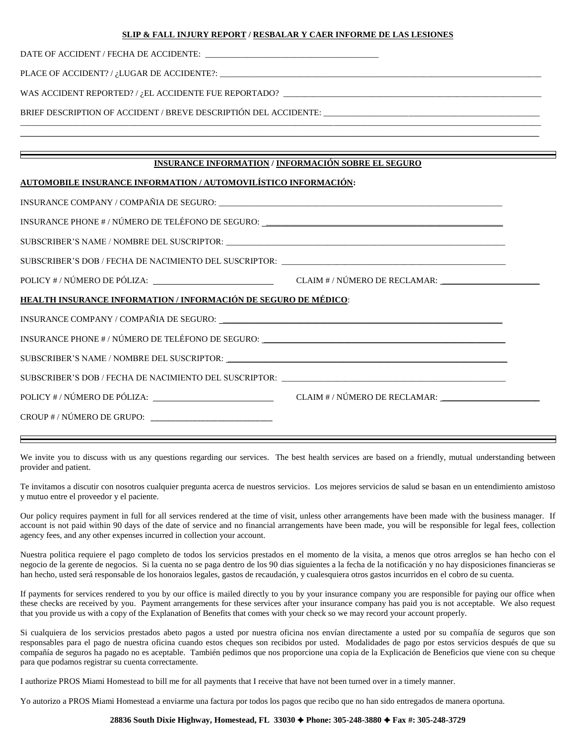#### **SLIP & FALL INJURY REPORT / RESBALAR Y CAER INFORME DE LAS LESIONES**

DATE OF ACCIDENT / FECHA DE ACCIDENTE:

PLACE OF ACCIDENT? / ¿LUGAR DE ACCIDENTE?: \_\_\_\_\_\_\_\_\_\_\_\_\_\_\_\_\_\_\_\_\_\_\_\_\_\_\_\_\_\_\_\_\_\_\_\_\_\_\_\_\_\_\_\_\_\_\_\_\_\_\_\_\_\_\_\_\_\_\_\_\_\_\_\_\_\_\_\_\_\_\_\_\_\_\_\_

WAS ACCIDENT REPORTED? / ¿EL ACCIDENTE FUE REPORTADO? \_\_\_\_\_\_\_\_\_\_\_\_\_\_\_\_\_\_\_\_\_\_\_\_\_\_

BRIEF DESCRIPTION OF ACCIDENT / BREVE DESCRIPTIÓN DEL ACCIDENTE: \_\_\_\_\_\_\_\_\_\_\_\_\_\_\_\_\_\_\_\_\_\_\_\_\_\_\_\_\_\_\_\_\_\_\_\_\_\_\_\_\_\_\_\_\_\_\_\_\_\_\_

#### **INSURANCE INFORMATION / INFORMACIÓN SOBRE EL SEGURO**

\_\_\_\_\_\_\_\_\_\_\_\_\_\_\_\_\_\_\_\_\_\_\_\_\_\_\_\_\_\_\_\_\_\_\_\_\_\_\_\_\_\_\_\_\_\_\_\_\_\_\_\_\_\_\_\_\_\_\_\_\_\_\_\_\_\_\_\_\_\_\_\_\_\_\_\_\_\_\_\_\_\_\_\_\_\_\_\_\_\_\_\_\_\_\_\_\_\_\_\_\_\_\_\_\_\_\_\_\_\_\_\_\_\_\_\_\_\_\_\_\_\_\_  $\_$  , and the set of the set of the set of the set of the set of the set of the set of the set of the set of the set of the set of the set of the set of the set of the set of the set of the set of the set of the set of th

### **AUTOMOBILE INSURANCE INFORMATION / AUTOMOVILÍSTICO INFORMACIÓN:**

| HEALTH INSURANCE INFORMATION / INFORMACIÓN DE SEGURO DE MÉDICO:                   |  |  |  |  |  |  |
|-----------------------------------------------------------------------------------|--|--|--|--|--|--|
|                                                                                   |  |  |  |  |  |  |
| INSURANCE PHONE # / NÚMERO DE TELÉFONO DE SEGURO: _______________________________ |  |  |  |  |  |  |
|                                                                                   |  |  |  |  |  |  |
| SUBSCRIBER'S DOB / FECHA DE NACIMIENTO DEL SUSCRIPTOR: __________________________ |  |  |  |  |  |  |
|                                                                                   |  |  |  |  |  |  |
| CROUP # / NÚMERO DE GRUPO: ______________________________                         |  |  |  |  |  |  |
|                                                                                   |  |  |  |  |  |  |

We invite you to discuss with us any questions regarding our services. The best health services are based on a friendly, mutual understanding between provider and patient.

Te invitamos a discutir con nosotros cualquier pregunta acerca de nuestros servicios. Los mejores servicios de salud se basan en un entendimiento amistoso y mutuo entre el proveedor y el paciente.

Our policy requires payment in full for all services rendered at the time of visit, unless other arrangements have been made with the business manager. If account is not paid within 90 days of the date of service and no financial arrangements have been made, you will be responsible for legal fees, collection agency fees, and any other expenses incurred in collection your account.

Nuestra politica requiere el pago completo de todos los servicios prestados en el momento de la visita, a menos que otros arreglos se han hecho con el negocio de la gerente de negocios. Si la cuenta no se paga dentro de los 90 dias siguientes a la fecha de la notificación y no hay disposiciones financieras se han hecho, usted será responsable de los honoraios legales, gastos de recaudación, y cualesquiera otros gastos incurridos en el cobro de su cuenta.

If payments for services rendered to you by our office is mailed directly to you by your insurance company you are responsible for paying our office when these checks are received by you. Payment arrangements for these services after your insurance company has paid you is not acceptable. We also request that you provide us with a copy of the Explanation of Benefits that comes with your check so we may record your account properly.

Si cualquiera de los servicios prestados abeto pagos a usted por nuestra oficina nos envían directamente a usted por su compañía de seguros que son responsables para el pago de nuestra oficina cuando estos cheques son recibidos por usted. Modalidades de pago por estos servicios después de que su compañía de seguros ha pagado no es aceptable. También pedimos que nos proporcione una copia de la Explicación de Beneficios que viene con su cheque para que podamos registrar su cuenta correctamente.

I authorize PROS Miami Homestead to bill me for all payments that I receive that have not been turned over in a timely manner.

Yo autorizo a PROS Miami Homestead a enviarme una factura por todos los pagos que recibo que no han sido entregados de manera oportuna.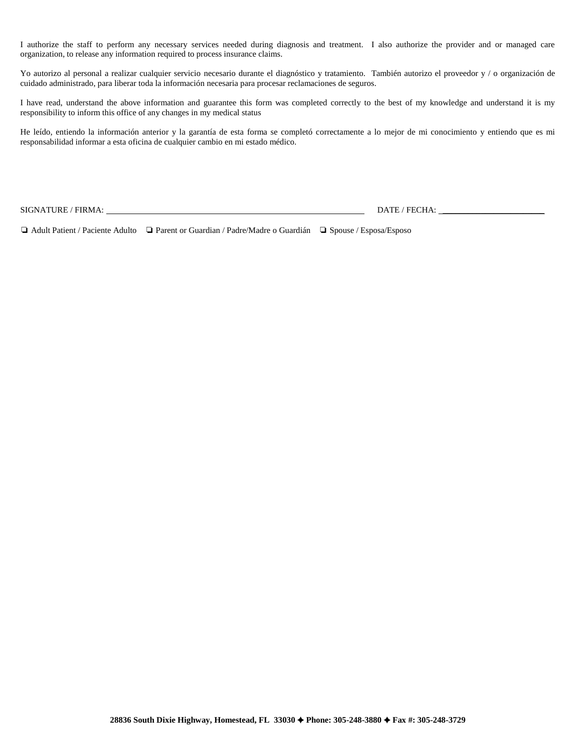I authorize the staff to perform any necessary services needed during diagnosis and treatment. I also authorize the provider and or managed care organization, to release any information required to process insurance claims.

Yo autorizo al personal a realizar cualquier servicio necesario durante el diagnóstico y tratamiento. También autorizo el proveedor y / o organización de cuidado administrado, para liberar toda la información necesaria para procesar reclamaciones de seguros.

I have read, understand the above information and guarantee this form was completed correctly to the best of my knowledge and understand it is my responsibility to inform this office of any changes in my medical status

He leído, entiendo la información anterior y la garantía de esta forma se completó correctamente a lo mejor de mi conocimiento y entiendo que es mi responsabilidad informar a esta oficina de cualquier cambio en mi estado médico.

 $\text{SIGNATURE} \text{/ FIRMA:} \begin{tabular}{l} \text{SIGNATURE} \end{tabular} \begin{tabular}{p{0.8cm}c} \text{DATE} \end{tabular} \begin{tabular}{p{0.8cm}c} \text{DATE} \end{tabular} \begin{tabular}{p{0.8cm}c} \text{DATE} \end{tabular} \begin{tabular}{p{0.8cm}c} \text{DATE} \end{tabular} \begin{tabular}{p{0.8cm}c} \text{DATE} \end{tabular} \begin{tabular}{p{0.8cm}c} \text{DATE} \end{tabular} \begin{tabular}{p{0.8cm}c} \text{DATE} \end$ 

❏ Adult Patient / Paciente Adulto ❏ Parent or Guardian / Padre/Madre o Guardián ❏ Spouse / Esposa/Esposo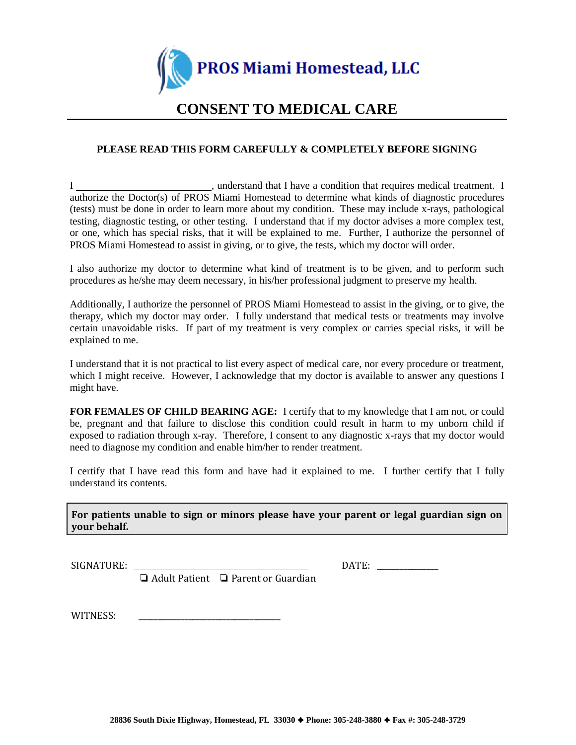

# **CONSENT TO MEDICAL CARE**

# **PLEASE READ THIS FORM CAREFULLY & COMPLETELY BEFORE SIGNING**

I suppose that I have a condition that requires medical treatment. I authorize the Doctor(s) of PROS Miami Homestead to determine what kinds of diagnostic procedures (tests) must be done in order to learn more about my condition. These may include x-rays, pathological testing, diagnostic testing, or other testing. I understand that if my doctor advises a more complex test, or one, which has special risks, that it will be explained to me. Further, I authorize the personnel of PROS Miami Homestead to assist in giving, or to give, the tests, which my doctor will order.

I also authorize my doctor to determine what kind of treatment is to be given, and to perform such procedures as he/she may deem necessary, in his/her professional judgment to preserve my health.

Additionally, I authorize the personnel of PROS Miami Homestead to assist in the giving, or to give, the therapy, which my doctor may order. I fully understand that medical tests or treatments may involve certain unavoidable risks. If part of my treatment is very complex or carries special risks, it will be explained to me.

I understand that it is not practical to list every aspect of medical care, nor every procedure or treatment, which I might receive. However, I acknowledge that my doctor is available to answer any questions I might have.

**FOR FEMALES OF CHILD BEARING AGE:** I certify that to my knowledge that I am not, or could be, pregnant and that failure to disclose this condition could result in harm to my unborn child if exposed to radiation through x-ray. Therefore, I consent to any diagnostic x-rays that my doctor would need to diagnose my condition and enable him/her to render treatment.

I certify that I have read this form and have had it explained to me. I further certify that I fully understand its contents.

**For patients unable to sign or minors please have your parent or legal guardian sign on your behalf.**

SIGNATURE:  $\blacksquare$ 

❏ Adult Patient ❏ Parent or Guardian

WITNESS: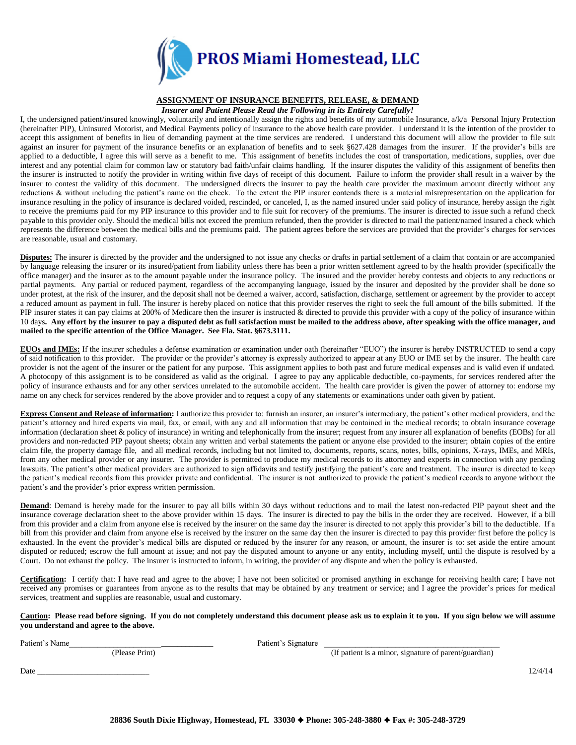

#### **ASSIGNMENT OF INSURANCE BENEFITS, RELEASE, & DEMAND**

*Insurer and Patient Please Read the Following in its Entirety Carefully!*

I, the undersigned patient/insured knowingly, voluntarily and intentionally assign the rights and benefits of my automobile Insurance, a/k/a Personal Injury Protection (hereinafter PIP), Uninsured Motorist, and Medical Payments policy of insurance to the above health care provider. I understand it is the intention of the provider to accept this assignment of benefits in lieu of demanding payment at the time services are rendered. I understand this document will allow the provider to file suit against an insurer for payment of the insurance benefits or an explanation of benefits and to seek §627.428 damages from the insurer. If the provider's bills are applied to a deductible, I agree this will serve as a benefit to me. This assignment of benefits includes the cost of transportation, medications, supplies, over due interest and any potential claim for common law or statutory bad faith/unfair claims handling. If the insurer disputes the validity of this assignment of benefits then the insurer is instructed to notify the provider in writing within five days of receipt of this document. Failure to inform the provider shall result in a waiver by the insurer to contest the validity of this document. The undersigned directs the insurer to pay the health care provider the maximum amount directly without any reductions & without including the patient's name on the check. To the extent the PIP insurer contends there is a material misrepresentation on the application for insurance resulting in the policy of insurance is declared voided, rescinded, or canceled, I, as the named insured under said policy of insurance, hereby assign the right to receive the premiums paid for my PIP insurance to this provider and to file suit for recovery of the premiums. The insurer is directed to issue such a refund check payable to this provider only. Should the medical bills not exceed the premium refunded, then the provider is directed to mail the patient/named insured a check which represents the difference between the medical bills and the premiums paid. The patient agrees before the services are provided that the provider's charges for services are reasonable, usual and customary.

**Disputes:** The insurer is directed by the provider and the undersigned to not issue any checks or drafts in partial settlement of a claim that contain or are accompanied by language releasing the insurer or its insured/patient from liability unless there has been a prior written settlement agreed to by the health provider (specifically the office manager) and the insurer as to the amount payable under the insurance policy. The insured and the provider hereby contests and objects to any reductions or partial payments. Any partial or reduced payment, regardless of the accompanying language, issued by the insurer and deposited by the provider shall be done so under protest, at the risk of the insurer, and the deposit shall not be deemed a waiver, accord, satisfaction, discharge, settlement or agreement by the provider to accept a reduced amount as payment in full. The insurer is hereby placed on notice that this provider reserves the right to seek the full amount of the bills submitted. If the PIP insurer states it can pay claims at 200% of Medicare then the insurer is instructed & directed to provide this provider with a copy of the policy of insurance within 10 days**. Any effort by the insurer to pay a disputed debt as full satisfaction must be mailed to the address above, after speaking with the office manager, and mailed to the specific attention of the Office Manager. See Fla. Stat. §673.3111.**

**EUOs and IMEs:** If the insurer schedules a defense examination or examination under oath (hereinafter "EUO") the insurer is hereby INSTRUCTED to send a copy of said notification to this provider. The provider or the provider's attorney is expressly authorized to appear at any EUO or IME set by the insurer. The health care provider is not the agent of the insurer or the patient for any purpose. This assignment applies to both past and future medical expenses and is valid even if undated. A photocopy of this assignment is to be considered as valid as the original. I agree to pay any applicable deductible, co-payments, for services rendered after the policy of insurance exhausts and for any other services unrelated to the automobile accident. The health care provider is given the power of attorney to: endorse my name on any check for services rendered by the above provider and to request a copy of any statements or examinations under oath given by patient.

**Express Consent and Release of information:** I authorize this provider to: furnish an insurer, an insurer's intermediary, the patient's other medical providers, and the patient's attorney and hired experts via mail, fax, or email, with any and all information that may be contained in the medical records; to obtain insurance coverage information (declaration sheet & policy of insurance) in writing and telephonically from the insurer; request from any insurer all explanation of benefits (EOBs) for all providers and non-redacted PIP payout sheets; obtain any written and verbal statements the patient or anyone else provided to the insurer; obtain copies of the entire claim file, the property damage file, and all medical records, including but not limited to, documents, reports, scans, notes, bills, opinions, X-rays, IMEs, and MRIs, from any other medical provider or any insurer. The provider is permitted to produce my medical records to its attorney and experts in connection with any pending lawsuits. The patient's other medical providers are authorized to sign affidavits and testify justifying the patient's care and treatment. The insurer is directed to keep the patient's medical records from this provider private and confidential. The insurer is not authorized to provide the patient's medical records to anyone without the patient's and the provider's prior express written permission.

**Demand**: Demand is hereby made for the insurer to pay all bills within 30 days without reductions and to mail the latest non-redacted PIP payout sheet and the insurance coverage declaration sheet to the above provider within 15 days. The insurer is directed to pay the bills in the order they are received. However, if a bill from this provider and a claim from anyone else is received by the insurer on the same day the insurer is directed to not apply this provider's bill to the deductible. If a bill from this provider and claim from anyone else is received by the insurer on the same day then the insurer is directed to pay this provider first before the policy is exhausted. In the event the provider's medical bills are disputed or reduced by the insurer for any reason, or amount, the insurer is to: set aside the entire amount disputed or reduced; escrow the full amount at issue; and not pay the disputed amount to anyone or any entity, including myself, until the dispute is resolved by a Court. Do not exhaust the policy. The insurer is instructed to inform, in writing, the provider of any dispute and when the policy is exhausted.

**Certification:** I certify that: I have read and agree to the above; I have not been solicited or promised anything in exchange for receiving health care; I have not received any promises or guarantees from anyone as to the results that may be obtained by any treatment or service; and I agree the provider's prices for medical services, treatment and supplies are reasonable, usual and customary.

**Caution: Please read before signing. If you do not completely understand this document please ask us to explain it to you. If you sign below we will assume you understand and agree to the above.**

Patient's Name **Patient's Name** 

(Please Print) (If patient is a minor, signature of parent/guardian)

Date \_\_\_\_\_\_\_\_\_\_\_\_\_\_\_\_\_\_\_\_\_\_\_\_\_\_\_\_ 12/4/14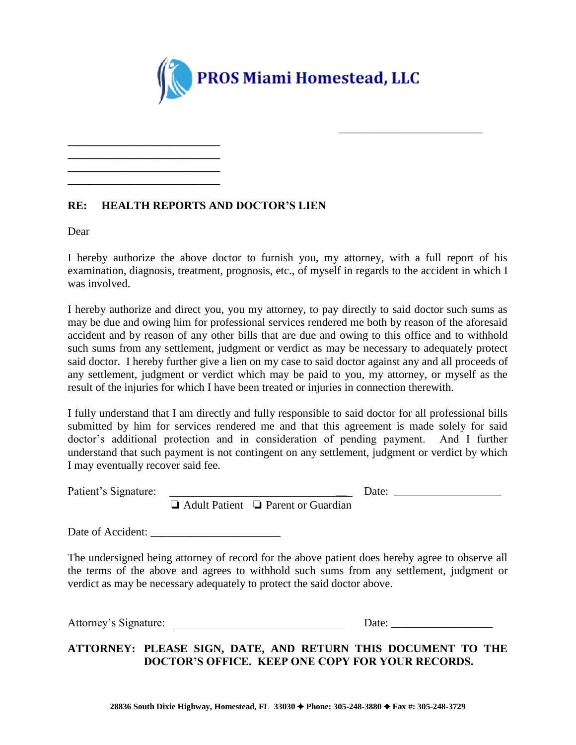

# **RE: HEALTH REPORTS AND DOCTOR'S LIEN**

**\_\_\_\_\_\_\_\_\_\_\_\_\_\_\_\_\_\_\_\_\_\_\_\_\_\_\_ \_\_\_\_\_\_\_\_\_\_\_\_\_\_\_\_\_\_\_\_\_\_\_\_\_\_\_ \_\_\_\_\_\_\_\_\_\_\_\_\_\_\_\_\_\_\_\_\_\_\_\_\_\_\_ \_\_\_\_\_\_\_\_\_\_\_\_\_\_\_\_\_\_\_\_\_\_\_\_\_\_\_**

Dear

I hereby authorize the above doctor to furnish you, my attorney, with a full report of his examination, diagnosis, treatment, prognosis, etc., of myself in regards to the accident in which I was involved.

I hereby authorize and direct you, you my attorney, to pay directly to said doctor such sums as may be due and owing him for professional services rendered me both by reason of the aforesaid accident and by reason of any other bills that are due and owing to this office and to withhold such sums from any settlement, judgment or verdict as may be necessary to adequately protect said doctor. I hereby further give a lien on my case to said doctor against any and all proceeds of any settlement, judgment or verdict which may be paid to you, my attorney, or myself as the result of the injuries for which I have been treated or injuries in connection therewith.

I fully understand that I am directly and fully responsible to said doctor for all professional bills submitted by him for services rendered me and that this agreement is made solely for said doctor's additional protection and in consideration of pending payment. And I further understand that such payment is not contingent on any settlement, judgment or verdict by which I may eventually recover said fee.

Patient's Signature: \_\_ Date: \_\_\_\_\_\_\_\_\_\_\_\_\_\_\_\_\_\_\_

\_\_\_\_\_\_\_\_\_\_\_\_\_\_\_\_\_\_\_\_\_\_\_\_\_\_\_\_\_\_\_\_\_\_

❏ Adult Patient ❏ Parent or Guardian

Date of Accident: \_\_\_\_\_\_\_\_\_\_\_\_\_\_\_\_\_\_\_\_\_\_\_

The undersigned being attorney of record for the above patient does hereby agree to observe all the terms of the above and agrees to withhold such sums from any settlement, judgment or verdict as may be necessary adequately to protect the said doctor above.

Attorney's Signature: Date: \_\_\_\_\_\_\_\_\_\_\_\_\_\_\_\_\_\_

**ATTORNEY: PLEASE SIGN, DATE, AND RETURN THIS DOCUMENT TO THE DOCTOR'S OFFICE. KEEP ONE COPY FOR YOUR RECORDS.**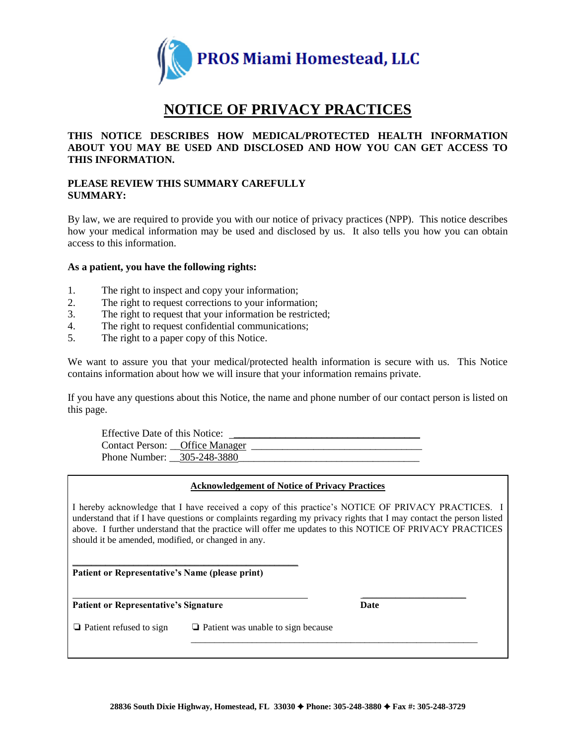

# **NOTICE OF PRIVACY PRACTICES**

# **THIS NOTICE DESCRIBES HOW MEDICAL/PROTECTED HEALTH INFORMATION ABOUT YOU MAY BE USED AND DISCLOSED AND HOW YOU CAN GET ACCESS TO THIS INFORMATION.**

# **PLEASE REVIEW THIS SUMMARY CAREFULLY SUMMARY:**

By law, we are required to provide you with our notice of privacy practices (NPP). This notice describes how your medical information may be used and disclosed by us. It also tells you how you can obtain access to this information.

## **As a patient, you have the following rights:**

- 1. The right to inspect and copy your information;
- 2. The right to request corrections to your information;
- 3. The right to request that your information be restricted;
- 4. The right to request confidential communications;
- 5. The right to a paper copy of this Notice.

We want to assure you that your medical/protected health information is secure with us. This Notice contains information about how we will insure that your information remains private.

If you have any questions about this Notice, the name and phone number of our contact person is listed on this page.

Effective Date of this Notice: Contact Person: \_\_Office Manager \_\_\_\_\_\_\_\_\_\_\_\_\_\_\_\_\_\_\_\_\_\_\_\_\_\_\_\_\_\_\_\_\_ Phone Number:  $305-248-3880$ 

## **Acknowledgement of Notice of Privacy Practices**

I hereby acknowledge that I have received a copy of this practice's NOTICE OF PRIVACY PRACTICES. I understand that if I have questions or complaints regarding my privacy rights that I may contact the person listed above. I further understand that the practice will offer me updates to this NOTICE OF PRIVACY PRACTICES should it be amended, modified, or changed in any.

 $\mathcal{L}_\text{max}$  and  $\mathcal{L}_\text{max}$  and  $\mathcal{L}_\text{max}$  and  $\mathcal{L}_\text{max}$ **Patient or Representative's Name (please print)**

**Patient or Representative's Signature Date**

\_\_\_\_\_\_\_\_\_\_\_\_\_\_\_\_\_\_\_\_\_\_\_\_\_\_\_\_\_\_\_\_\_\_\_\_\_\_\_\_\_\_\_\_\_\_\_\_\_\_\_\_\_\_\_\_\_\_\_\_\_

❏ Patient refused to sign ❏ Patient was unable to sign because

\_\_\_\_\_\_\_\_\_\_\_\_\_\_\_\_\_\_\_\_\_\_